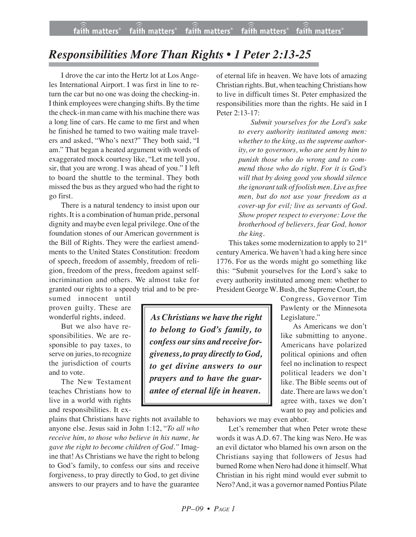## *Responsibilities More Than Rights • 1 Peter 2:13-25*

I drove the car into the Hertz lot at Los Angeles International Airport. I was first in line to return the car but no one was doing the checking-in. I think employees were changing shifts.By the time the check-in man came with his machine there was a long line of cars. He came to me first and when he finished he turned to two waiting male travelers and asked, "Who's next?" They both said, "I am." That began a heated argument with words of exaggerated mock courtesy like, "Let me tell you, sir, that you are wrong. I was ahead of you." I left to board the shuttle to the terminal. They both missed the bus as they argued who had the right to go first.

There is a natural tendency to insist upon our rights. It is a combination of human pride, personal dignity and maybe even legal privilege. One of the foundation stones of our American government is the Bill of Rights. They were the earliest amendments to the United States Constitution: freedom of speech, freedom of assembly, freedom of religion, freedom of the press, freedom against selfincrimination and others. We almost take for granted our rights to a speedy trial and to be pre-

sumed innocent until proven guilty. These are wonderful rights, indeed.

But we also have responsibilities. We are responsible to pay taxes, to serve on juries, to recognize the jurisdiction of courts and to vote.

The New Testament teaches Christians how to live in a world with rights and responsibilities. It ex-

plains that Christians have rights not available to anyone else. Jesus said in John 1:12, "*To all who receive him, to those who believe in his name, he gave the right to become children of God."* Imagine that! As Christians we have the right to belong to God's family, to confess our sins and receive forgiveness, to pray directly to God, to get divine answers to our prayers and to have the guarantee of eternal life in heaven. We have lots of amazing Christian rights. But, when teaching Christians how to live in difficult times St. Peter emphasized the responsibilities more than the rights. He said in I Peter 2:13-17:

> *Submit yourselves for the Lord's sake to every authority instituted among men:*  $\mathbf{a}$  *whether to the king, as the supreme authority, or to governors, who are sent by him to punish those who do wrong and to commend those who do right. For it is God's will that by doing good you should silence the ignorant talk of foolish men. Live as free men, but do not use your freedom as a cover-up for evil; live as servants of God. Show proper respect to everyone: Love the brotherhood of believers, fear God, honor the king.*

This takes some modernization to apply to  $21<sup>st</sup>$ centuryAmerica. We haven't had a king here since 1776. For us the words might go something like this: "Submit yourselves for the Lord's sake to every authority instituted among men: whether to President George W. Bush, the Supreme Court, the

> Congress, Governor Tim Pawlenty or the Minnesota Legislature."

As Americans we don't like submitting to anyone. Americans have polarized political opinions and often feel no inclination to respect political leaders we don't like. The Bible seems out of date. There are laws we don't agree with, taxes we don't want to pay and policies and

behaviors we may even abhor.

Let's remember that when Peter wrote these words it was A.D. 67. The king was Nero. He was an evil dictator who blamed his own arson on the Christians saying that followers of Jesus had burned Rome when Nero had done it himself.What Christian in his right mind would ever submit to Nero?And, it was a governor named Pontius Pilate

*As Christians we have the right to belong to God's family, to confess oursins and receive forgiveness, to pray directly to God, to get divine answers to our prayers and to have the guarantee of eternal life in heaven.*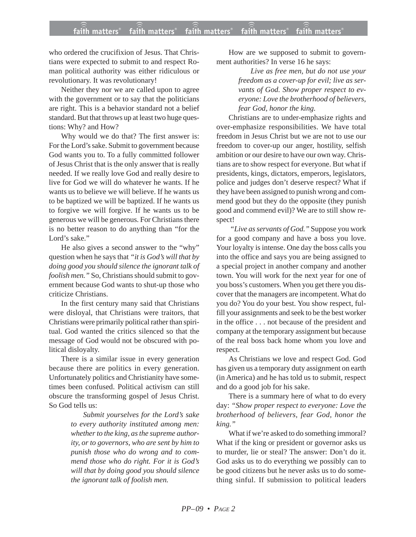who ordered the crucifixion of Jesus. That Christians were expected to submit to and respect Roman political authority was either ridiculous or revolutionary. It was revolutionary!

Neither they nor we are called upon to agree with the government or to say that the politicians are right. This is a behavior standard not a belief standard. But that throws up at least two huge questions: Why? and How?

Why would we do that? The first answer is: For the Lord's sake. Submit to government because God wants you to. To a fully committed follower of Jesus Christ that is the only answer that is really needed. If we really love God and really desire to live for God we will do whatever he wants. If he wants us to believe we will believe. If he wants us to be baptized we will be baptized. If he wants us to forgive we will forgive. If he wants us to be generous we will be generous. For Christians there is no better reason to do anything than "for the Lord's sake."

He also gives a second answer to the "why" question when he says that *"it is God's will that by doing good you should silence the ignorant talk of foolish men."* So, Christians should submit to government because God wants to shut-up those who criticize Christians.

In the first century many said that Christians were disloyal, that Christians were traitors, that Christians were primarily political rather than spiritual. God wanted the critics silenced so that the message of God would not be obscured with political disloyalty.

There is a similar issue in every generation because there are politics in every generation. Unfortunately politics and Christianity have sometimes been confused. Political activism can still obscure the transforming gospel of Jesus Christ. So God tells us:

> *Submit yourselves for the Lord's sake to every authority instituted among men: whether to the king, as the supreme authority, or to governors, who are sent by him to punish those who do wrong and to commend those who do right. For it is God's will that by doing good you should silence the ignorant talk of foolish men.*

How are we supposed to submit to government authorities? In verse 16 he says:

> *Live as free men, but do not use your freedom as a cover-up for evil; live as servants of God. Show proper respect to everyone: Love the brotherhood of believers, fear God, honor the king.*

Christians are to under-emphasize rights and over-emphasize responsibilities. We have total freedom in Jesus Christ but we are not to use our freedom to cover-up our anger, hostility, selfish ambition or our desire to have our own way. Christians are to show respect for everyone. But what if presidents, kings, dictators, emperors, legislators, police and judges don't deserve respect? What if they have been assigned to punish wrong and commend good but they do the opposite (they punish good and commend evil)? We are to still show respect!

*"Live as servants of God."* Suppose you work for a good company and have a boss you love. Your loyalty is intense. One day the boss calls you into the office and says you are being assigned to a special project in another company and another town. You will work for the next year for one of you boss's customers. When you get there you discover that the managers are incompetent. What do you do? You do your best. You show respect, fulfill your assignments and seek to be the best worker in the office . . . not because of the president and company at the temporary assignment but because of the real boss back home whom you love and respect.

As Christians we love and respect God. God has given us a temporary duty assignment on earth (in America) and he has told us to submit, respect and do a good job for his sake.

There is a summary here of what to do every day: *"Show proper respect to everyone: Love the brotherhood of believers, fear God, honor the king."*

What if we're asked to do something immoral? What if the king or president or governor asks us to murder, lie or steal? The answer: Don't do it. God asks us to do everything we possibly can to be good citizens but he never asks us to do something sinful. If submission to political leaders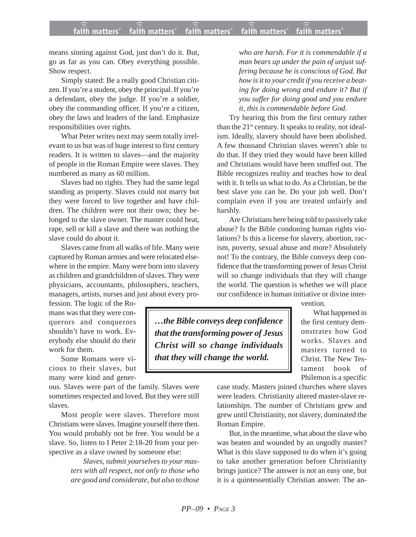means sinning against God, just don't do it. But, go as far as you can. Obey everything possible. Show respect.

Simply stated: Be a really good Christian citizen. If you're a student, obey the principal. If you're a defendant, obey the judge. If you're a soldier, obey the commanding officer. If you're a citizen, obey the laws and leaders of the land. Emphasize responsibilities over rights.

What Peter writes next may seem totally irrelevant to us but was of huge interest to first century readers. It is written to slaves—and the majority of people in the Roman Empire were slaves. They numbered as many as 60 million.

Slaves had no rights. They had the same legal standing as property. Slaves could not marry but they were forced to live together and have children. The children were not their own; they belonged to the slave owner. The master could beat, rape, sell or kill a slave and there was nothing the slave could do about it.

Slaves came from all walks of life. Many were captured by Roman armies and were relocated elsewhere in the empire. Many were born into slavery as children and grandchildren of slaves. They were physicians, accountants, philosophers, teachers, managers, artists, nurses and just about every pro-

fession. The logic of the Romans was that they were conquerors and conquerors shouldn't have to work. Everybody else should do their work for them.

Some Romans were vicious to their slaves, but many were kind and gener-

ous. Slaves were part of the family. Slaves were sometimes respected and loved. But they were still slaves.

Most people were slaves. Therefore most Christians were slaves. Imagine yourself there then. You would probably not be free. You would be a slave. So, listen to I Peter 2:18-20 from your perspective as a slave owned by someone else:

> *Slaves, submit yourselves to your masters with all respect, not only to those who are good and considerate, but also to those*

*who are harsh. For it is commendable if a man bears up under the pain of unjust suffering because he is conscious of God. But how is it to your credit if you receive a beating for doing wrong and endure it? But if you suffer for doing good and you endure it, this is commendable before God.*

Try hearing this from the first century rather than the  $21^{st}$  century. It speaks to reality, not idealism. Ideally, slavery should have been abolished. A few thousand Christian slaves weren't able to do that. If they tried they would have been killed and Christians would have been snuffed out. The Bible recognizes reality and teaches how to deal with it. It tells us what to do. As a Christian, be the best slave you can be. Do your job well. Don't complain even if you are treated unfairly and harshly.

Are Christians here being told to passively take abuse? Is the Bible condoning human rights violations? Is this a license for slavery, abortion, racism, poverty, sexual abuse and more? Absolutely not! To the contrary, the Bible conveys deep confidence that the transforming power of Jesus Christ will so change individuals that they will change the world. The question is whether we will place our confidence in human initiative or divine inter-

*…the Bible conveys deep confidence that the transforming power of Jesus Christ will so change individuals that they will change the world.*

vention.

What happened in the first century demonstrates how God works. Slaves and masters turned to Christ. The New Testament book of Philemon is a specific

case study. Masters joined churches where slaves were leaders. Christianity altered master-slave relationships. The number of Christians grew and grew until Christianity, not slavery, dominated the Roman Empire.

But, in the meantime, what about the slave who was beaten and wounded by an ungodly master? What is this slave supposed to do when it's going to take another generation before Christianity brings justice? The answer is not an easy one, but it is a quintessentially Christian answer. The an